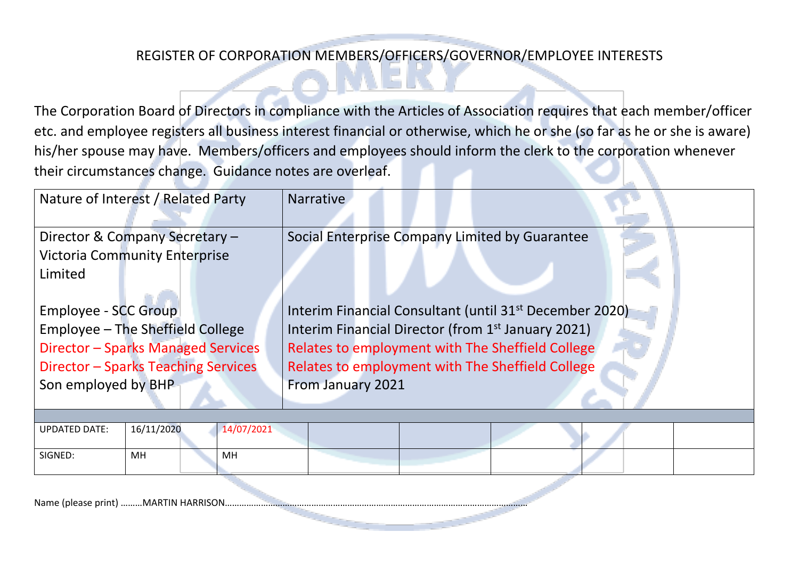# REGISTER OF CORPORATION MEMBERS/OFFICERS/GOVERNOR/EMPLOYEE INTERESTS

The Corporation Board of Directors in compliance with the Articles of Association requires that each member/officer etc. and employee registers all business interest financial or otherwise, which he or she (so far as he or she is aware) his/her spouse may have. Members/officers and employees should inform the clerk to the corporation whenever their circumstances change. Guidance notes are overleaf.

| Nature of Interest / Related Party                                                                                                                                  | <b>Narrative</b>                                                                                                                                                                                                                                                   |
|---------------------------------------------------------------------------------------------------------------------------------------------------------------------|--------------------------------------------------------------------------------------------------------------------------------------------------------------------------------------------------------------------------------------------------------------------|
| Director & Company Secretary -<br><b>Victoria Community Enterprise</b><br>Limited                                                                                   | Social Enterprise Company Limited by Guarantee                                                                                                                                                                                                                     |
| <b>Employee - SCC Group</b><br>Employee - The Sheffield College<br>Director - Sparks Managed Services<br>Director - Sparks Teaching Services<br>Son employed by BHP | Interim Financial Consultant (until 31 <sup>st</sup> December 2020)<br>Interim Financial Director (from 1 <sup>st</sup> January 2021)<br>Relates to employment with The Sheffield College<br>Relates to employment with The Sheffield College<br>From January 2021 |
|                                                                                                                                                                     |                                                                                                                                                                                                                                                                    |
| 16/11/2020<br>14/07/2021<br><b>UPDATED DATE:</b>                                                                                                                    |                                                                                                                                                                                                                                                                    |
| SIGNED:<br>MH<br>MН                                                                                                                                                 |                                                                                                                                                                                                                                                                    |
|                                                                                                                                                                     |                                                                                                                                                                                                                                                                    |

Name (please print) ………MARTIN HARRISON………………………………………………………………………………………………………………